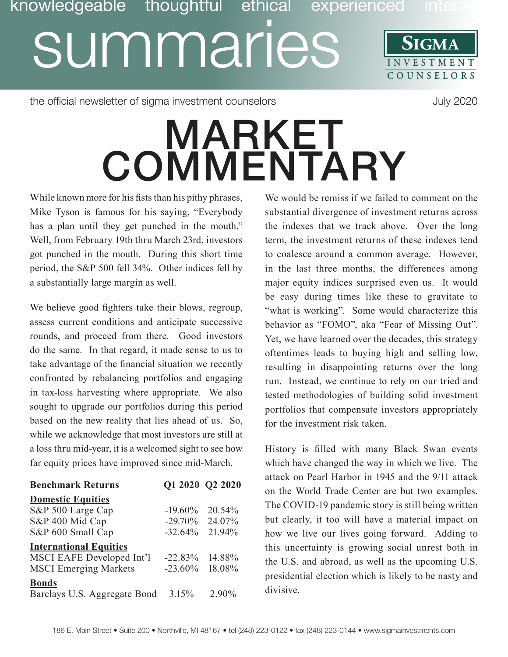## **SIGMA** Discription of the UMINICS SIGMA<br>SUMMARIES SIGMA **COUNSE L O R S** knowledgeable thoughtful ethical

the official newsletter of sigma investment counselors and the official newsletter of sigma investment counselors

## **MARKET COMMENTARY**

While known more for his fists than his pithy phrases, Mike Tyson is famous for his saying, "Everybody has a plan until they get punched in the mouth." Well, from February 19th thru March 23rd, investors got punched in the mouth. During this short time period, the S&P 500 fell 34%. Other indices fell by a substantially large margin as well.

We believe good fighters take their blows, regroup, assess current conditions and anticipate successive rounds, and proceed from there. Good investors do the same. In that regard, it made sense to us to take advantage of the financial situation we recently confronted by rebalancing portfolios and engaging in tax-loss harvesting where appropriate. We also sought to upgrade our portfolios during this period based on the new reality that lies ahead of us. So, while we acknowledge that most investors are still at a loss thru mid-year, it is a welcomed sight to see how far equity prices have improved since mid-March.

| <b>Benchmark Returns</b>         | Q1 2020 Q2 2020 |        |
|----------------------------------|-----------------|--------|
| <b>Domestic Equities</b>         |                 |        |
| S&P 500 Large Cap                | $-19.60\%$      | 20.54% |
| S&P 400 Mid Cap                  | $-29.70%$       | 24.07% |
| S&P 600 Small Cap                | $-32.64%$       | 21.94% |
| <b>International Equities</b>    |                 |        |
| <b>MSCI EAFE Developed Int'l</b> | $-22.83%$       | 14.88% |
| <b>MSCI</b> Emerging Markets     | $-23.60\%$      | 18.08% |
| <b>Bonds</b>                     |                 |        |
| Barclays U.S. Aggregate Bond     | 3.15%           | 2.90%  |

We would be remiss if we failed to comment on the substantial divergence of investment returns across the indexes that we track above. Over the long term, the investment returns of these indexes tend to coalesce around a common average. However, in the last three months, the differences among major equity indices surprised even us. It would be easy during times like these to gravitate to "what is working". Some would characterize this behavior as "FOMO", aka "Fear of Missing Out". Yet, we have learned over the decades, this strategy oftentimes leads to buying high and selling low, resulting in disappointing returns over the long run. Instead, we continue to rely on our tried and tested methodologies of building solid investment portfolios that compensate investors appropriately for the investment risk taken.

History is filled with many Black Swan events which have changed the way in which we live. The attack on Pearl Harbor in 1945 and the 9/11 attack on the World Trade Center are but two examples. The COVID-19 pandemic story is still being written but clearly, it too will have a material impact on how we live our lives going forward. Adding to this uncertainty is growing social unrest both in the U.S. and abroad, as well as the upcoming U.S. presidential election which is likely to be nasty and divisive.